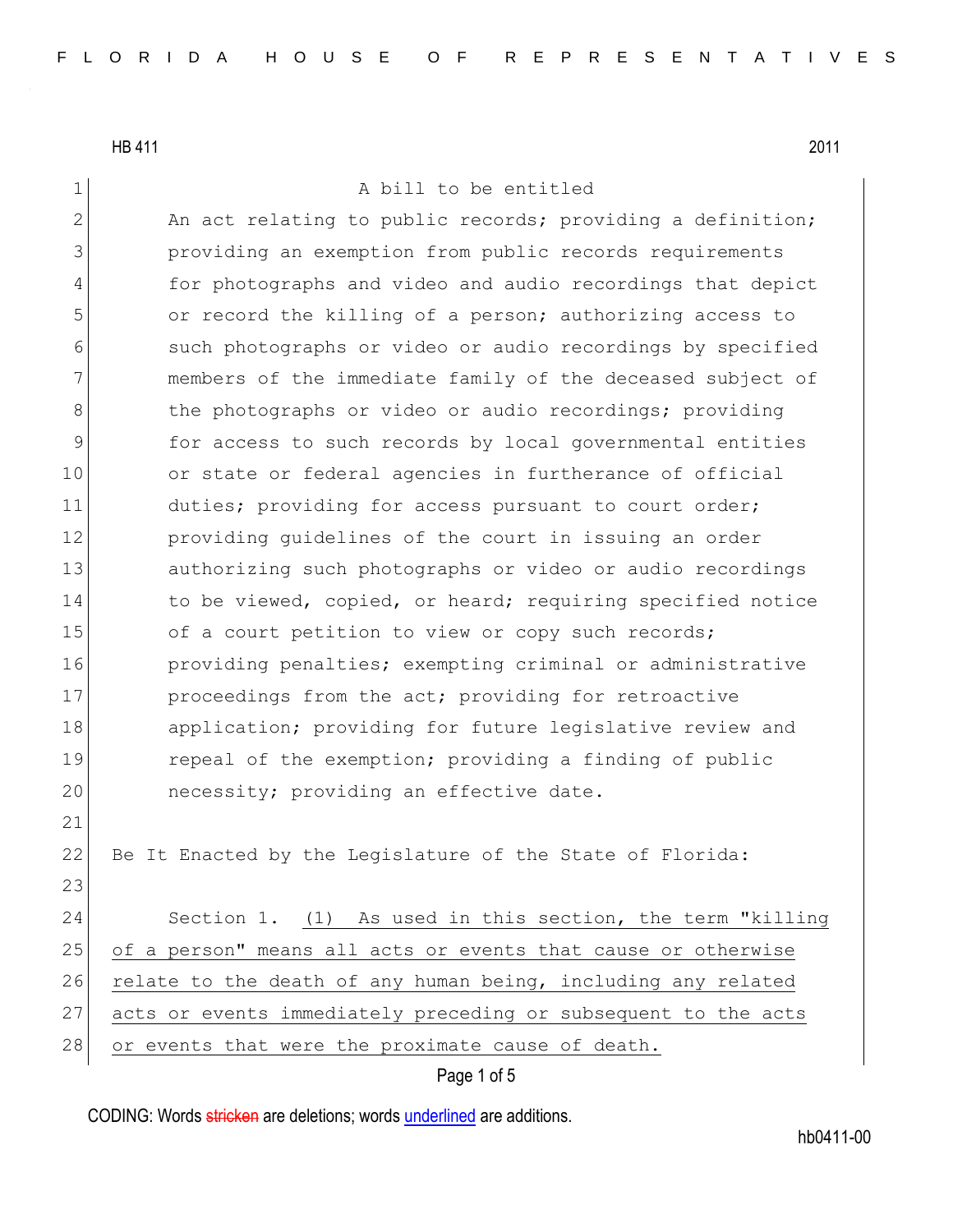## 1 A bill to be entitled 2 An act relating to public records; providing a definition; 3 providing an exemption from public records requirements 4 for photographs and video and audio recordings that depict 5 or record the killing of a person; authorizing access to 6 such photographs or video or audio recordings by specified 7 members of the immediate family of the deceased subject of 8 8 blue photographs or video or audio recordings; providing 9 for access to such records by local governmental entities 10 or state or federal agencies in furtherance of official 11 duties; providing for access pursuant to court order; 12 **providing quidelines of the court in issuing an order** 13 authorizing such photographs or video or audio recordings 14 to be viewed, copied, or heard; requiring specified notice 15 of a court petition to view or copy such records; 16 **providing penalties;** exempting criminal or administrative 17 proceedings from the act; providing for retroactive 18 application; providing for future legislative review and 19 repeal of the exemption; providing a finding of public 20 necessity; providing an effective date. 21 22 Be It Enacted by the Legislature of the State of Florida: 23 24 Section 1. (1) As used in this section, the term "killing 25 of a person" means all acts or events that cause or otherwise 26 relate to the death of any human being, including any related 27 acts or events immediately preceding or subsequent to the acts 28 or events that were the proximate cause of death.

Page 1 of 5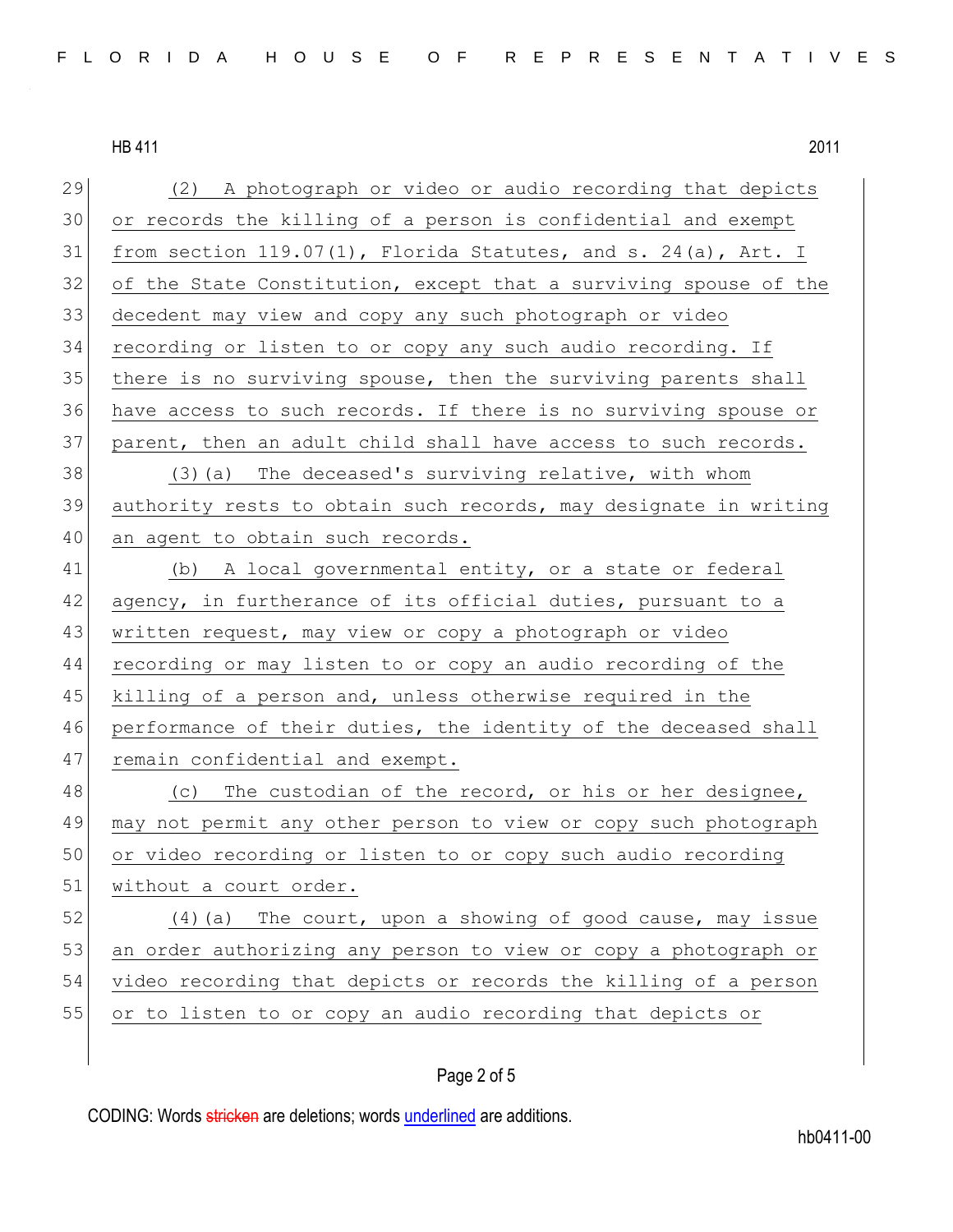| 29 | (2) A photograph or video or audio recording that depicts         |
|----|-------------------------------------------------------------------|
| 30 | or records the killing of a person is confidential and exempt     |
| 31 | from section $119.07(1)$ , Florida Statutes, and s. 24(a), Art. I |
| 32 | of the State Constitution, except that a surviving spouse of the  |
| 33 | decedent may view and copy any such photograph or video           |
| 34 | recording or listen to or copy any such audio recording. If       |
| 35 | there is no surviving spouse, then the surviving parents shall    |
| 36 | have access to such records. If there is no surviving spouse or   |
| 37 | parent, then an adult child shall have access to such records.    |
| 38 | (3) (a) The deceased's surviving relative, with whom              |
| 39 | authority rests to obtain such records, may designate in writing  |
| 40 | an agent to obtain such records.                                  |
| 41 | (b) A local governmental entity, or a state or federal            |
| 42 | agency, in furtherance of its official duties, pursuant to a      |
| 43 | written request, may view or copy a photograph or video           |
| 44 | recording or may listen to or copy an audio recording of the      |
| 45 | killing of a person and, unless otherwise required in the         |
| 46 | performance of their duties, the identity of the deceased shall   |
| 47 | remain confidential and exempt.                                   |
| 48 | (c) The custodian of the record, or his or her designee,          |
| 49 | may not permit any other person to view or copy such photograph   |
| 50 | or video recording or listen to or copy such audio recording      |
| 51 | without a court order.                                            |
| 52 | (4) (a) The court, upon a showing of good cause, may issue        |
| 53 | an order authorizing any person to view or copy a photograph or   |
| 54 | video recording that depicts or records the killing of a person   |
| 55 | or to listen to or copy an audio recording that depicts or        |

## Page 2 of 5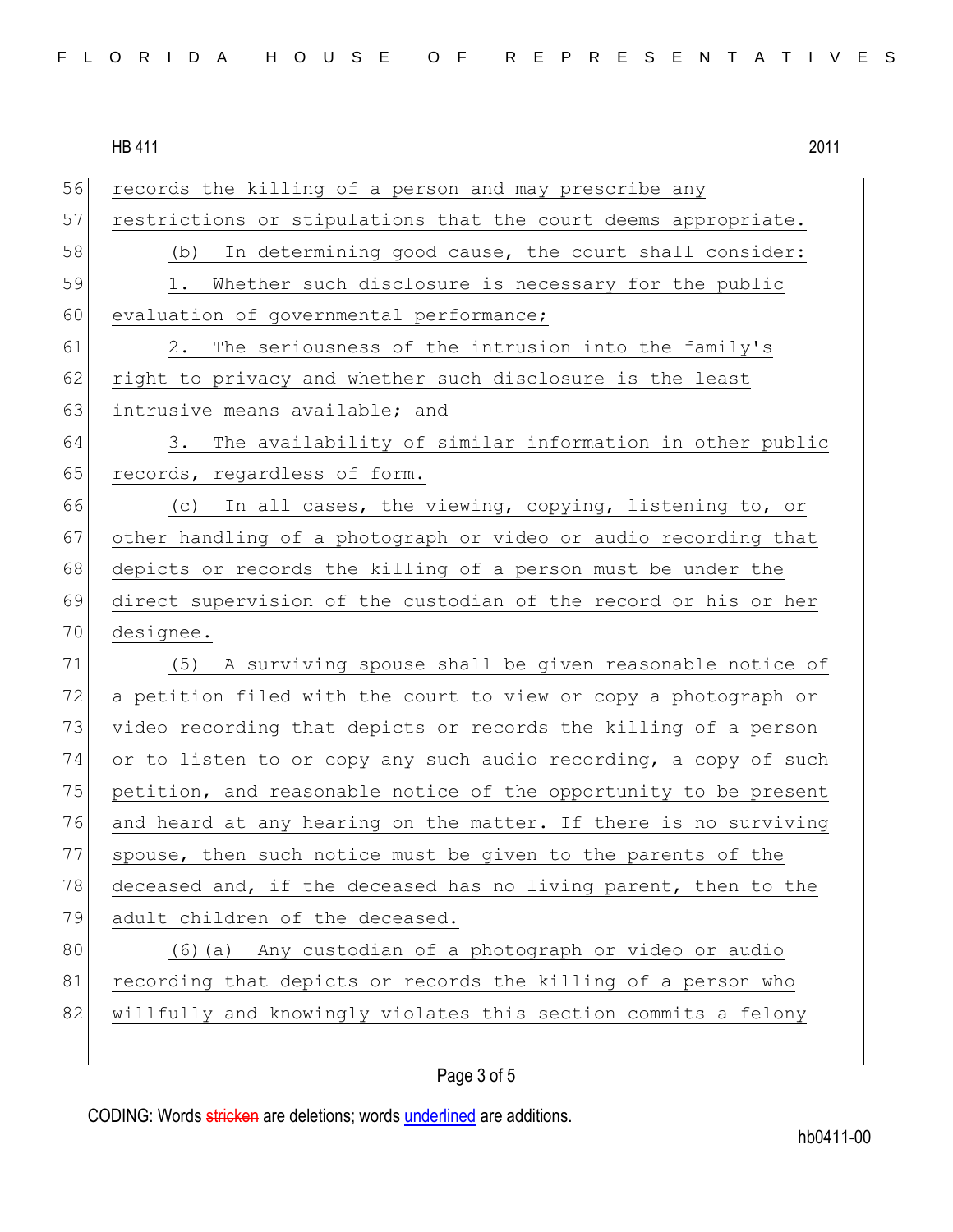56 records the killing of a person and may prescribe any 57 restrictions or stipulations that the court deems appropriate. 58 (b) In determining good cause, the court shall consider: 59 1. Whether such disclosure is necessary for the public 60 evaluation of governmental performance; 61 2. The seriousness of the intrusion into the family's 62 right to privacy and whether such disclosure is the least 63 intrusive means available; and 64 3. The availability of similar information in other public 65 records, regardless of form. 66 (c) In all cases, the viewing, copying, listening to, or 67 other handling of a photograph or video or audio recording that 68 depicts or records the killing of a person must be under the 69 direct supervision of the custodian of the record or his or her 70 designee. 71 (5) A surviving spouse shall be given reasonable notice of 72 a petition filed with the court to view or copy a photograph or 73 video recording that depicts or records the killing of a person 74 or to listen to or copy any such audio recording, a copy of such 75 petition, and reasonable notice of the opportunity to be present 76 and heard at any hearing on the matter. If there is no surviving 77 spouse, then such notice must be given to the parents of the 78 deceased and, if the deceased has no living parent, then to the 79 adult children of the deceased. 80 (6)(a) Any custodian of a photograph or video or audio 81 recording that depicts or records the killing of a person who 82 willfully and knowingly violates this section commits a felony

## Page 3 of 5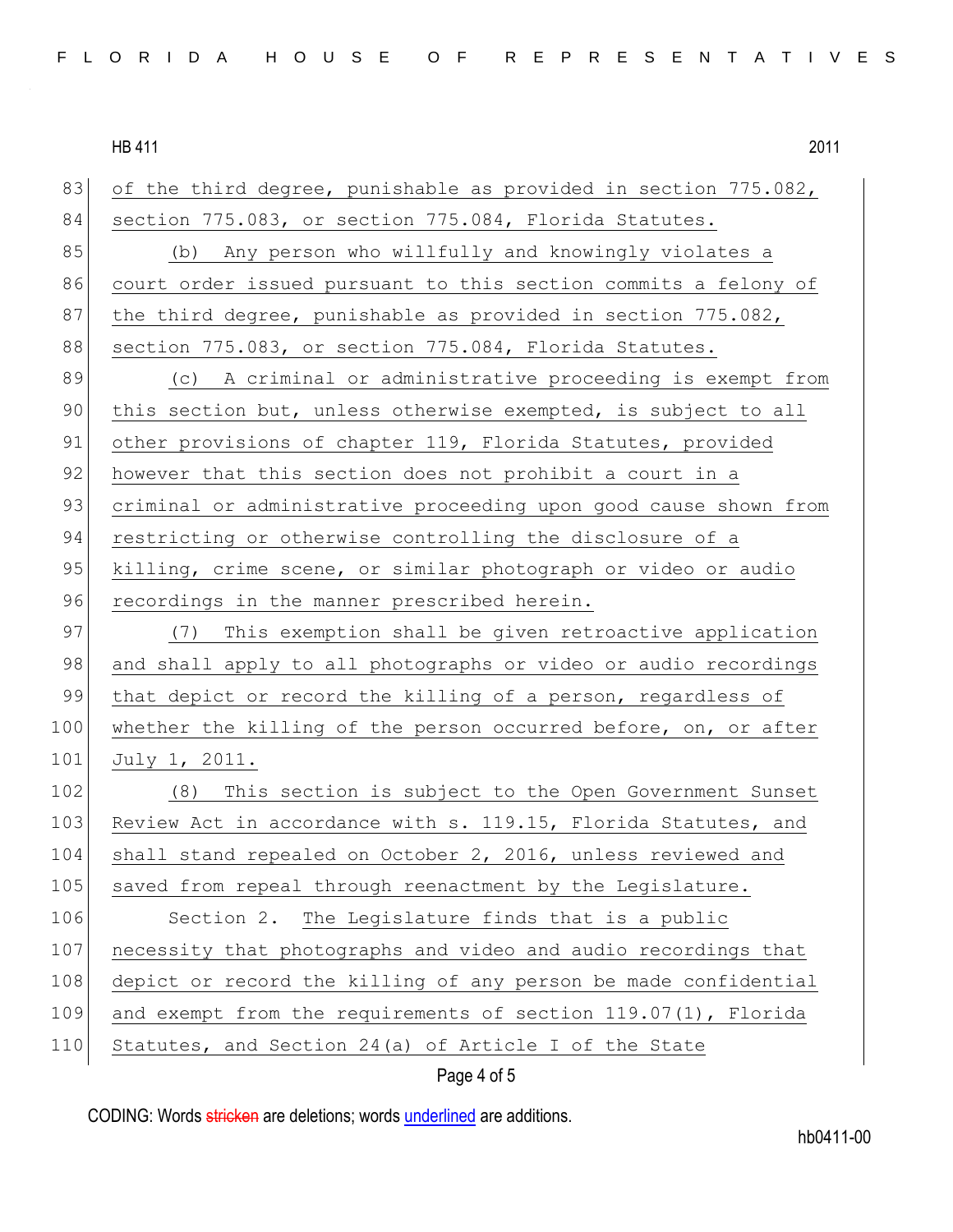83 of the third degree, punishable as provided in section 775.082, 84 section 775.083, or section 775.084, Florida Statutes. 85 (b) Any person who willfully and knowingly violates a 86 court order issued pursuant to this section commits a felony of 87 the third degree, punishable as provided in section 775.082, 88 section 775.083, or section 775.084, Florida Statutes. 89 (c) A criminal or administrative proceeding is exempt from 90 this section but, unless otherwise exempted, is subject to all 91 other provisions of chapter 119, Florida Statutes, provided 92 however that this section does not prohibit a court in a 93 criminal or administrative proceeding upon good cause shown from 94 restricting or otherwise controlling the disclosure of a 95 killing, crime scene, or similar photograph or video or audio 96 recordings in the manner prescribed herein. 97 (7) This exemption shall be given retroactive application 98 and shall apply to all photographs or video or audio recordings 99 that depict or record the killing of a person, regardless of 100 whether the killing of the person occurred before, on, or after 101 July 1, 2011. 102 (8) This section is subject to the Open Government Sunset 103 Review Act in accordance with s. 119.15, Florida Statutes, and 104 shall stand repealed on October 2, 2016, unless reviewed and 105 saved from repeal through reenactment by the Legislature. 106 Section 2. The Legislature finds that is a public 107 necessity that photographs and video and audio recordings that 108 depict or record the killing of any person be made confidential 109 and exempt from the requirements of section 119.07(1), Florida 110 Statutes, and Section 24(a) of Article I of the State

## Page 4 of 5